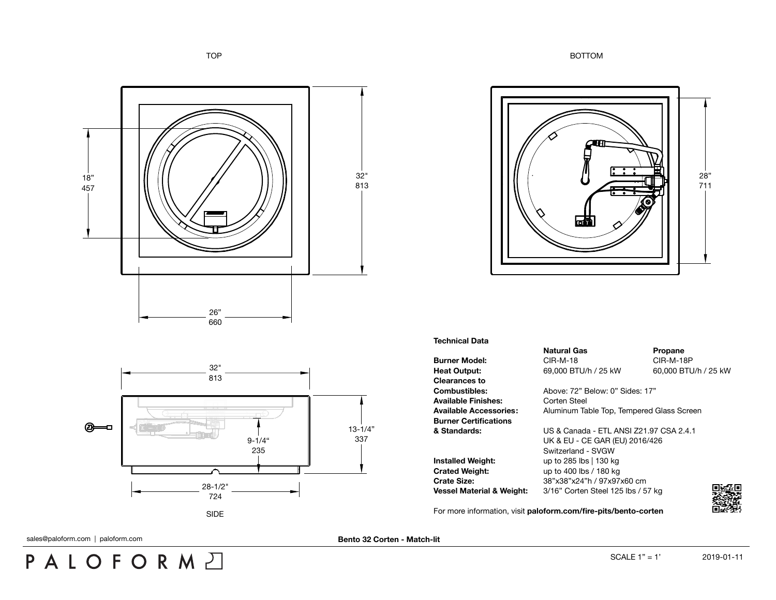TOP BOTTOM



## **Technical Data**

**Burner Model:** CIR-M-18 CIR-M-18 CIR-M-18P **Heat Output:** 69,000 BTU/h / 25 kW 60,000 BTU/h / 25 kW **Clearances to** Available Finishes: Corten Steel **Burner Certifications**

**Installed Weight:** up to 285 lbs | 130 kg **Crated Weight:** up to 400 lbs / 180 kg

**Natural Gas Propane** 

**Combustibles:** Above: 72" Below: 0" Sides: 17" **Available Accessories:** Aluminum Table Top, Tempered Glass Screen

**& Standards:** US & Canada - ETL ANSI Z21.97 CSA 2.4.1 UK & EU - CE GAR (EU) 2016/426 Switzerland - SVGW **Crate Size:** 38"x38"x24"h / 97x97x60 cm **Vessel Material & Weight:** 3/16" Corten Steel 125 lbs / 57 kg

For more information, visit **[paloform.com/fire-pits/bento-corten](http://paloform.com/fire-pits/bento-corten)**



sales@paloform.com | paloform.com **blue and a sales and a set of the Bento 32 Corten - Match-lit** 

PALOFORMA





对 13-1/4" 337 9-1/4" 235 28-1/2" 724 SIDE